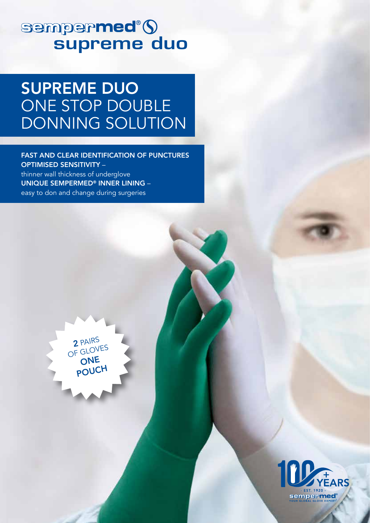# sempermed<sup>®</sup>()

## SUPREME DUO ONE STOP DOUBLE DONNING SOLUTION

FAST AND CLEAR IDENTIFICATION OF PUNCTURES OPTIMISED SENSITIVITY – thinner wall thickness of underglove UNIQUE SEMPERMED® INNER LINING – easy to don and change during surgeries



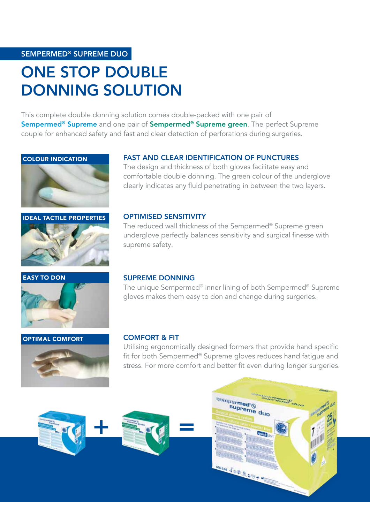#### SEMPERMED® SUPREME DUO

## ONE STOP DOUBLE DONNING SOLUTION

This complete double donning solution comes double-packed with one pair of Sempermed<sup>®</sup> Supreme and one pair of Sempermed<sup>®</sup> Supreme green. The perfect Supreme couple for enhanced safety and fast and clear detection of perforations during surgeries.







#### EASY TO DON



#### OPTIMAL COMFORT



#### FAST AND CLEAR IDENTIFICATION OF PUNCTURES

The design and thickness of both gloves facilitate easy and comfortable double donning. The green colour of the underglove clearly indicates any fluid penetrating in between the two layers.

#### OPTIMISED SENSITIVITY

The reduced wall thickness of the Sempermed® Supreme green underglove perfectly balances sensitivity and surgical finesse with supreme safety.

#### SUPREME DONNING

The unique Sempermed® inner lining of both Sempermed® Supreme gloves makes them easy to don and change during surgeries.

#### COMFORT & FIT

Utilising ergonomically designed formers that provide hand specific fit for both Sempermed® Supreme gloves reduces hand fatigue and stress. For more comfort and better fit even during longer surgeries.



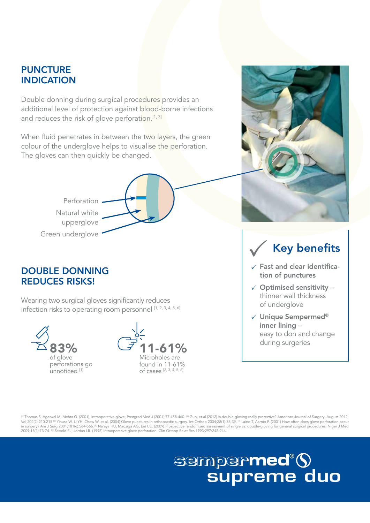### **PUNCTURE** INDICATION

Double donning during surgical procedures provides an additional level of protection against blood-borne infections and reduces the risk of glove perforation.<sup>[1, 3]</sup>

When fluid penetrates in between the two layers, the green colour of the underglove helps to visualise the perforation. The gloves can then quickly be changed.





### DOUBLE DONNING REDUCES RISKS!

Wearing two surgical gloves significantly reduces infection risks to operating room personnel [1, 2, 3, 4, 5, 6]

> 83% of glove perforations go unnoticed<sup>[1]</sup>



## Key benefits

- $\checkmark$  Fast and clear identification of punctures
- $\checkmark$  Optimised sensitivity thinner wall thickness of underglove
- $\checkmark$  Unique Sempermed® inner lining – easy to don and change during surgeries

[1] Thomas S, Agarwal M, Mehta G. (2001), Intraoperative glove, Postgrad Med J (2001);77:458-460. [2] Giuo, et.al (2012) Is double-gloving really protective? American Journal of Surgery, August 2012, Vol 204(2):210-215.⊠ Yinusa W, Li YH, Chow W, et al. (2004) Glove punctures in orthopaedic surgery. Int Orthop 2004;28(1):36-39. ® Laine T, Aarnio P. (2001) How often does glove perforation occur<br>in surgery? Am J Surg 2001

# sempermed®9